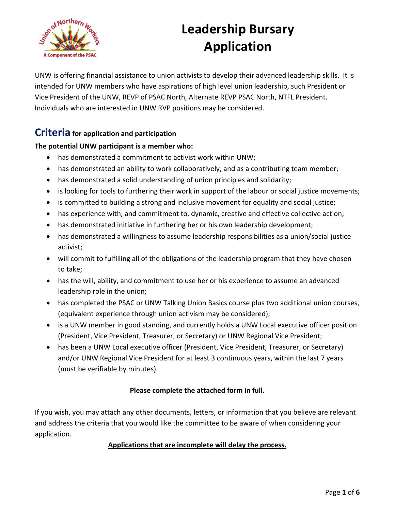

UNW is offering financial assistance to union activists to develop their advanced leadership skills. It is intended for UNW members who have aspirations of high level union leadership, such President or Vice President of the UNW, REVP of PSAC North, Alternate REVP PSAC North, NTFL President. Individuals who are interested in UNW RVP positions may be considered.

### **Criteria for application and participation**

#### **The potential UNW participant is a member who:**

- has demonstrated a commitment to activist work within UNW;
- has demonstrated an ability to work collaboratively, and as a contributing team member;
- has demonstrated a solid understanding of union principles and solidarity;
- is looking for tools to furthering their work in support of the labour or social justice movements;
- is committed to building a strong and inclusive movement for equality and social justice;
- has experience with, and commitment to, dynamic, creative and effective collective action;
- has demonstrated initiative in furthering her or his own leadership development;
- has demonstrated a willingness to assume leadership responsibilities as a union/social justice activist;
- will commit to fulfilling all of the obligations of the leadership program that they have chosen to take;
- has the will, ability, and commitment to use her or his experience to assume an advanced leadership role in the union;
- has completed the PSAC or UNW Talking Union Basics course plus two additional union courses, (equivalent experience through union activism may be considered);
- is a UNW member in good standing, and currently holds a UNW Local executive officer position (President, Vice President, Treasurer, or Secretary) or UNW Regional Vice President;
- has been a UNW Local executive officer (President, Vice President, Treasurer, or Secretary) and/or UNW Regional Vice President for at least 3 continuous years, within the last 7 years (must be verifiable by minutes).

#### **Please complete the attached form in full.**

If you wish, you may attach any other documents, letters, or information that you believe are relevant and address the criteria that you would like the committee to be aware of when considering your application.

#### **Applications that are incomplete will delay the process.**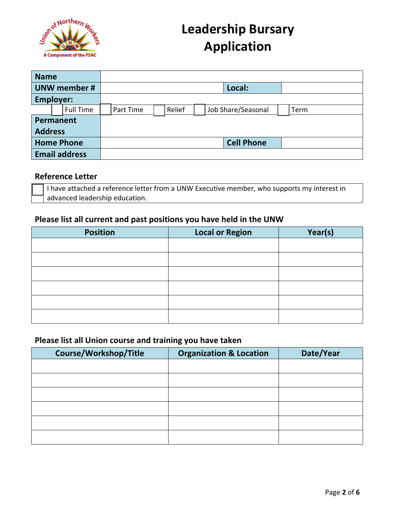

| <b>Name</b>          |  |                  |        |           |  |        |  |  |                    |      |
|----------------------|--|------------------|--------|-----------|--|--------|--|--|--------------------|------|
| <b>UNW member #</b>  |  |                  | Local: |           |  |        |  |  |                    |      |
| <b>Employer:</b>     |  |                  |        |           |  |        |  |  |                    |      |
|                      |  | <b>Full Time</b> |        | Part Time |  | Relief |  |  | Job Share/Seasonal | Term |
| Permanent            |  |                  |        |           |  |        |  |  |                    |      |
| <b>Address</b>       |  |                  |        |           |  |        |  |  |                    |      |
| <b>Home Phone</b>    |  |                  |        |           |  |        |  |  | <b>Cell Phone</b>  |      |
| <b>Email address</b> |  |                  |        |           |  |        |  |  |                    |      |

#### **Reference Letter**

I have attached a reference letter from a UNW Executive member, who supports my interest in advanced leadership education.

#### **Please list all current and past positions you have held in the UNW**

| <b>Position</b> | <b>Local or Region</b> | Year(s) |
|-----------------|------------------------|---------|
|                 |                        |         |
|                 |                        |         |
|                 |                        |         |
|                 |                        |         |
|                 |                        |         |
|                 |                        |         |

#### **Please list all Union course and training you have taken**

| Course/Workshop/Title | <b>Organization &amp; Location</b> | Date/Year |
|-----------------------|------------------------------------|-----------|
|                       |                                    |           |
|                       |                                    |           |
|                       |                                    |           |
|                       |                                    |           |
|                       |                                    |           |
|                       |                                    |           |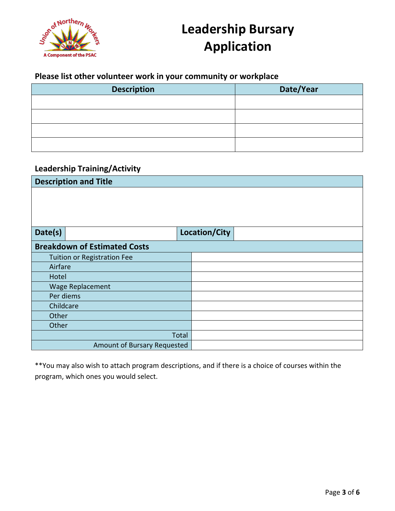

### **Please list other volunteer work in your community or workplace**

| <b>Description</b> | Date/Year |
|--------------------|-----------|
|                    |           |
|                    |           |
|                    |           |
|                    |           |

### **Leadership Training/Activity**

| <b>Description and Title</b>        |               |  |  |  |
|-------------------------------------|---------------|--|--|--|
|                                     |               |  |  |  |
|                                     |               |  |  |  |
|                                     |               |  |  |  |
|                                     |               |  |  |  |
| Date(s)                             | Location/City |  |  |  |
| <b>Breakdown of Estimated Costs</b> |               |  |  |  |
| <b>Tuition or Registration Fee</b>  |               |  |  |  |
| Airfare                             |               |  |  |  |
| Hotel                               |               |  |  |  |
| Wage Replacement                    |               |  |  |  |
| Per diems                           |               |  |  |  |
| Childcare                           |               |  |  |  |
| Other                               |               |  |  |  |
| Other                               |               |  |  |  |
|                                     | Total         |  |  |  |
| Amount of Bursary Requested         |               |  |  |  |

\*\*You may also wish to attach program descriptions, and if there is a choice of courses within the program, which ones you would select.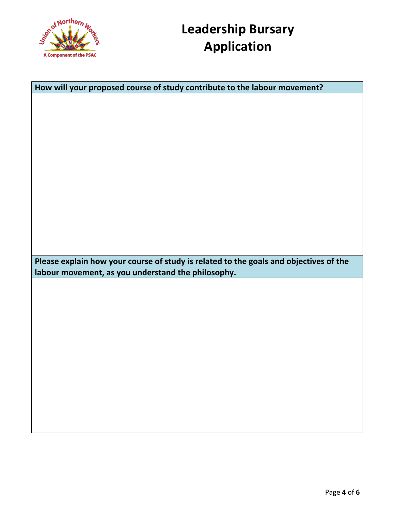

| How will your proposed course of study contribute to the labour movement?             |  |  |
|---------------------------------------------------------------------------------------|--|--|
|                                                                                       |  |  |
|                                                                                       |  |  |
|                                                                                       |  |  |
|                                                                                       |  |  |
|                                                                                       |  |  |
|                                                                                       |  |  |
|                                                                                       |  |  |
|                                                                                       |  |  |
|                                                                                       |  |  |
|                                                                                       |  |  |
|                                                                                       |  |  |
|                                                                                       |  |  |
|                                                                                       |  |  |
|                                                                                       |  |  |
|                                                                                       |  |  |
| Please explain how your course of study is related to the goals and objectives of the |  |  |
| labour movement, as you understand the philosophy.                                    |  |  |
|                                                                                       |  |  |
|                                                                                       |  |  |
|                                                                                       |  |  |
|                                                                                       |  |  |
|                                                                                       |  |  |
|                                                                                       |  |  |
|                                                                                       |  |  |
|                                                                                       |  |  |
|                                                                                       |  |  |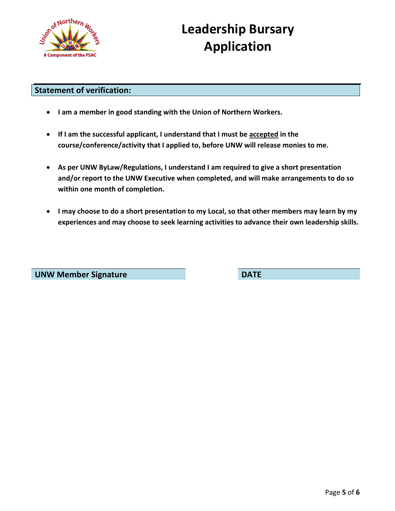

#### **Statement of verification:**

- **I am a member in good standing with the Union of Northern Workers.**
- **If I am the successful applicant, I understand that I must be accepted in the course/conference/activity that I applied to, before UNW will release monies to me.**
- **As per UNW ByLaw/Regulations, I understand I am required to give a short presentation and/or report to the UNW Executive when completed, and will make arrangements to do so within one month of completion.**
- **I may choose to do a short presentation to my Local, so that other members may learn by my experiences and may choose to seek learning activities to advance their own leadership skills.**

**UNW Member Signature DATE**